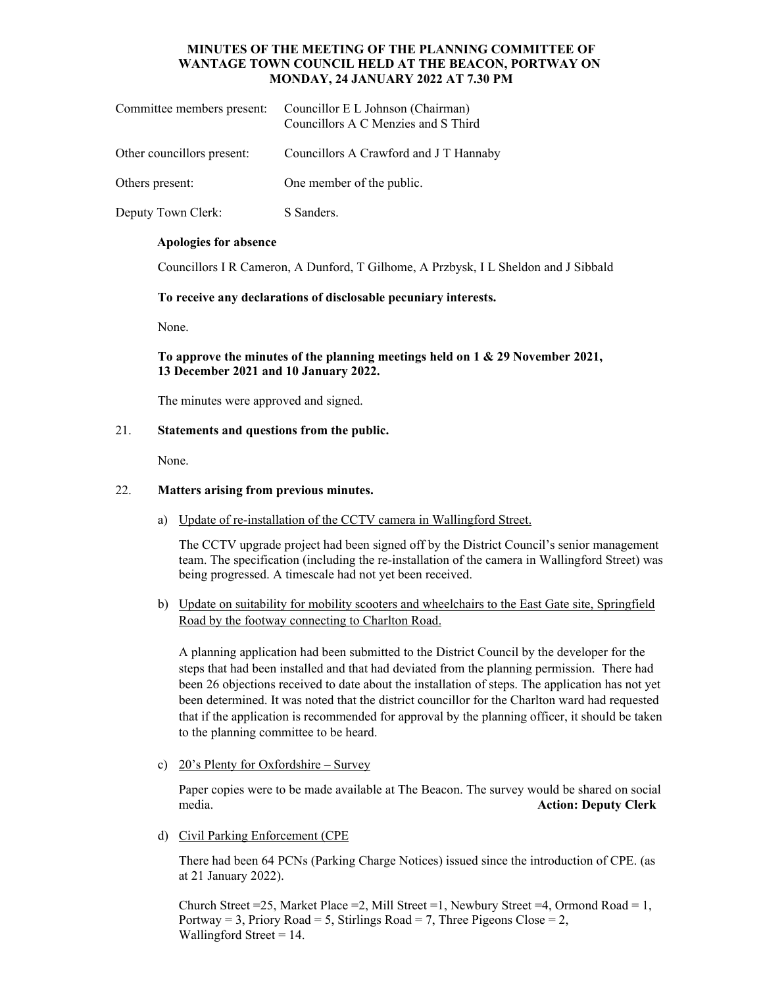# **MINUTES OF THE MEETING OF THE PLANNING COMMITTEE OF WANTAGE TOWN COUNCIL HELD AT THE BEACON, PORTWAY ON MONDAY, 24 JANUARY 2022 AT 7.30 PM**

| Committee members present: | Councillor E L Johnson (Chairman)<br>Councillors A C Menzies and S Third |
|----------------------------|--------------------------------------------------------------------------|
| Other councillors present: | Councillors A Crawford and J T Hannaby                                   |
| Others present:            | One member of the public.                                                |
| Deputy Town Clerk:         | S Sanders.                                                               |

#### **Apologies for absence**

Councillors I R Cameron, A Dunford, T Gilhome, A Przbysk, I L Sheldon and J Sibbald

**To receive any declarations of disclosable pecuniary interests.** 

None.

# **To approve the minutes of the planning meetings held on 1 & 29 November 2021, 13 December 2021 and 10 January 2022.**

The minutes were approved and signed.

#### 21. **Statements and questions from the public.**

None.

### 22. **Matters arising from previous minutes.**

a) Update of re-installation of the CCTV camera in Wallingford Street.

The CCTV upgrade project had been signed off by the District Council's senior management team. The specification (including the re-installation of the camera in Wallingford Street) was being progressed. A timescale had not yet been received.

b) Update on suitability for mobility scooters and wheelchairs to the East Gate site, Springfield Road by the footway connecting to Charlton Road.

A planning application had been submitted to the District Council by the developer for the steps that had been installed and that had deviated from the planning permission. There had been 26 objections received to date about the installation of steps. The application has not yet been determined. It was noted that the district councillor for the Charlton ward had requested that if the application is recommended for approval by the planning officer, it should be taken to the planning committee to be heard.

c) 20's Plenty for Oxfordshire – Survey

Paper copies were to be made available at The Beacon. The survey would be shared on social media. **Action: Deputy Clerk** 

d) Civil Parking Enforcement (CPE

There had been 64 PCNs (Parking Charge Notices) issued since the introduction of CPE. (as at 21 January 2022).

Church Street =25, Market Place =2, Mill Street =1, Newbury Street =4, Ormond Road = 1, Portway = 3, Priory Road = 5, Stirlings Road = 7, Three Pigeons Close = 2, Wallingford Street  $= 14$ .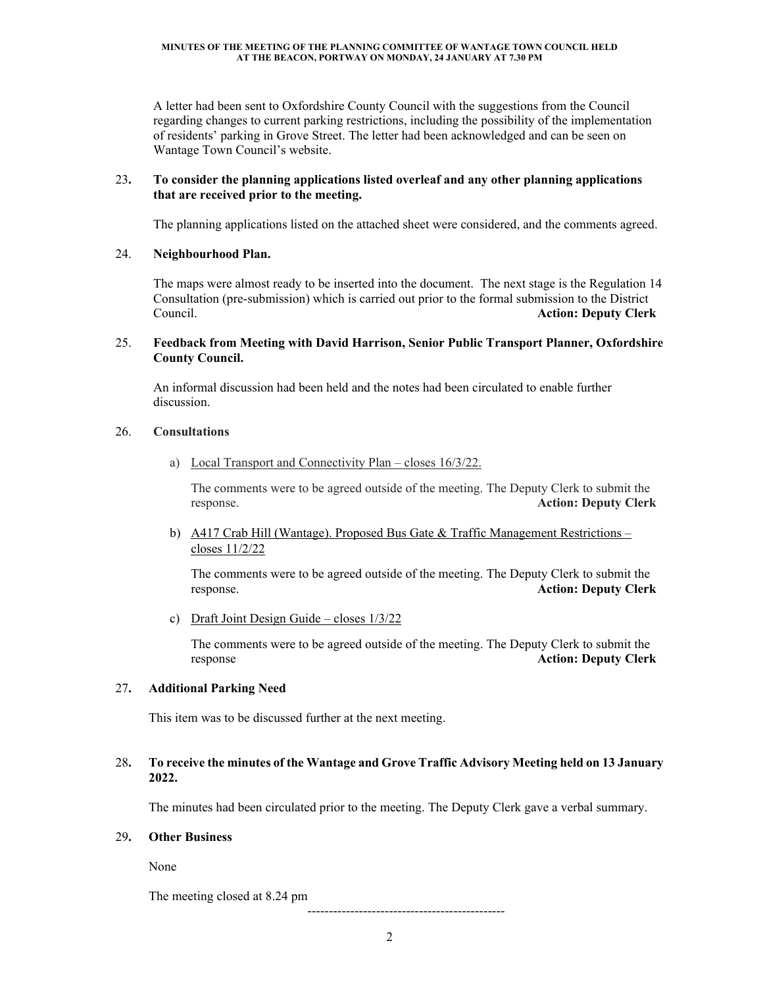A letter had been sent to Oxfordshire County Council with the suggestions from the Council regarding changes to current parking restrictions, including the possibility of the implementation of residents' parking in Grove Street. The letter had been acknowledged and can be seen on Wantage Town Council's website.

# 23**. To consider the planning applications listed overleaf and any other planning applications that are received prior to the meeting.**

The planning applications listed on the attached sheet were considered, and the comments agreed.

# 24. **Neighbourhood Plan.**

 The maps were almost ready to be inserted into the document. The next stage is the Regulation 14 Consultation (pre-submission) which is carried out prior to the formal submission to the District Council. **Action: Deputy Clerk**

# 25. **Feedback from Meeting with David Harrison, Senior Public Transport Planner, Oxfordshire County Council.**

 An informal discussion had been held and the notes had been circulated to enable further discussion.

# 26. **Consultations**

a) Local Transport and Connectivity Plan – closes 16/3/22.

The comments were to be agreed outside of the meeting. The Deputy Clerk to submit the response. **Action: Deputy Clerk**

b) A417 Crab Hill (Wantage). Proposed Bus Gate & Traffic Management Restrictions – closes 11/2/22

The comments were to be agreed outside of the meeting. The Deputy Clerk to submit the response. **Action: Deputy Clerk**

c) Draft Joint Design Guide – closes 1/3/22

The comments were to be agreed outside of the meeting. The Deputy Clerk to submit the response **Action: Deputy Clerk** 

# 27**. Additional Parking Need**

This item was to be discussed further at the next meeting.

# 28**. To receive the minutes of the Wantage and Grove Traffic Advisory Meeting held on 13 January 2022.**

The minutes had been circulated prior to the meeting. The Deputy Clerk gave a verbal summary.

# 29**. Other Business**

None

The meeting closed at 8.24 pm

----------------------------------------------